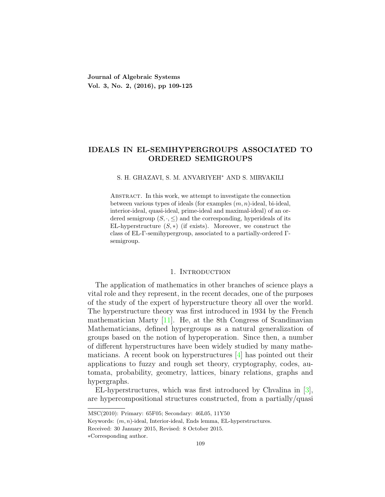## **IDEALS IN EL-SEMIHYPERGROUPS ASSOCIATED TO ORDERED SEMIGROUPS**

#### S. H. GHAZAVI, S. M. ANVARIYEH*<sup>∗</sup>* AND S. MIRVAKILI

Abstract. In this work, we attempt to investigate the connection between various types of ideals (for examples (*m, n*)-ideal, bi-ideal, interior-ideal, quasi-ideal, prime-ideal and maximal-ideal) of an ordered semigroup  $(S, \cdot, \leq)$  and the corresponding, hyperideals of its EL-hyperstructure  $(S, *)$  (if exists). Moreover, we construct the class of EL-Γ-semihypergroup, associated to a partially-ordered Γsemigroup.

## 1. INTRODUCTION

The application of mathematics in other branches of science plays a vital role and they represent, in the recent decades, one of the purposes of the study of the expert of hyperstructure theory all over the world. The hyperstructure theory was first introduced in 1934 by the French mathematician Marty[[11\]](#page-15-0). He, at the 8th Congress of Scandinavian Mathematicians, defined hypergroups as a natural generalization of groups based on the notion of hyperoperation. Since then, a number of different hyperstructures have been widely studied by many mathematicians. A recent book on hyperstructures[[4\]](#page-15-1) has pointed out their applications to fuzzy and rough set theory, cryptography, codes, automata, probability, geometry, lattices, binary relations, graphs and hypergraphs.

EL-hyperstructures, which was first introduced by Chvalina in[[3\]](#page-15-2), are hypercompositional structures constructed, from a partially/quasi

MSC(2010): Primary: 65F05; Secondary: 46L05, 11Y50

Keywords: (*m, n*)-ideal, Interior-ideal, Ends lemma, EL-hyperstructures.

Received: 30 January 2015, Revised: 8 October 2015.

*<sup>∗</sup>*Corresponding author.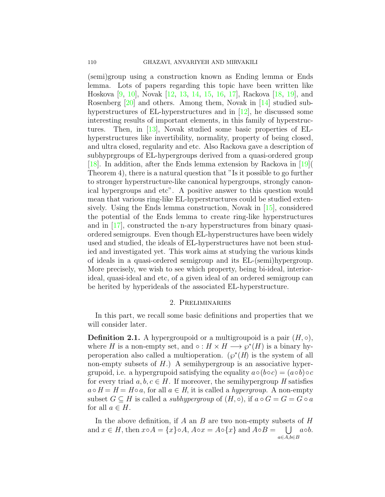(semi)group using a construction known as Ending lemma or Ends lemma. Lots of papers regarding this topic have been written like Hoskova [\[9](#page-15-3), [10\]](#page-15-4), Novak[[12,](#page-15-5) [13](#page-15-6), [14,](#page-15-7) [15](#page-16-0), [16,](#page-16-1) [17](#page-16-2)], Rackova[[18](#page-16-3), [19\]](#page-16-4), and Rosenberg [\[20](#page-16-5)] and others. Among them, Novak in [\[14\]](#page-15-7) studied subhyperstructures of EL-hyperstructures and in[[12\]](#page-15-5), he discussed some interesting results of important elements, in this family of hyperstructures. Then, in [\[13\]](#page-15-6), Novak studied some basic properties of ELhyperstructures like invertibility, normality, property of being closed, and ultra closed, regularity and etc. Also Rackova gave a description of subhyprgroups of EL-hypergroups derived from a quasi-ordered group [[18](#page-16-3)]. In addition, after the Ends lemma extension by Rackova in[[19](#page-16-4)]( Theorem 4), there is a natural question that "Is it possible to go further to stronger hyperstructure-like canonical hypergroups, strongly canonical hypergroups and etc". A positive answer to this question would mean that various ring-like EL-hyperstructures could be studied extensively. Using the Ends lemma construction, Novak in  $[15]$ , considered the potential of the Ends lemma to create ring-like hyperstructures and in [\[17\]](#page-16-2), constructed the n-ary hyperstructures from binary quasiordered semigroups. Even though EL-hyperstructures have been widely used and studied, the ideals of EL-hyperstructures have not been studied and investigated yet. This work aims at studying the various kinds of ideals in a quasi-ordered semigroup and its EL-(semi)hypergroup. More precisely, we wish to see which property, being bi-ideal, interiorideal, quasi-ideal and etc, of a given ideal of an ordered semigroup can be herited by hyperideals of the associated EL-hyperstructure.

## 2. Preliminaries

In this part, we recall some basic definitions and properties that we will consider later.

**Definition 2.1.** A hypergroupoid or a multigroupoid is a pair  $(H, \circ)$ , where *H* is a non-empty set, and  $\circ$  :  $H \times H \longrightarrow \wp^*(H)$  is a binary hyperoperation also called a multioperation.  $(\wp^*(H)$  is the system of all non-empty subsets of *H*.) A semihypergroup is an associative hypergrupoid, i.e. a hypergrupoid satisfying the equality  $a \circ (b \circ c) = (a \circ b) \circ c$ for every triad  $a, b, c \in H$ . If moreover, the semihypergroup *H* satisfies  $a \circ H = H = H \circ a$ , for all  $a \in H$ , it is called a *hypergroup*. A non-empty subset  $G \subseteq H$  is called a *subhypergroup* of  $(H, \circ),$  if  $a \circ G = G = G \circ a$ for all  $a \in H$ .

In the above definition, if *A* an *B* are two non-empty subsets of *H* and  $x \in H$ , then  $x \circ A = \{x\} \circ A$ ,  $A \circ x = A \circ \{x\}$  and  $A \circ B =$ ∪ *a◦b*.*a∈A,b∈B*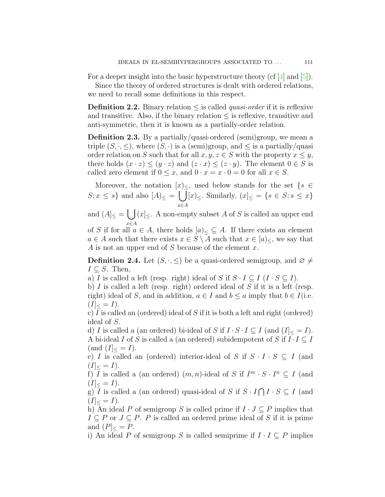For a deeper insight into the basic hyperstructure theory (cf [\[4](#page-15-1)] and [\[5](#page-15-8)]).

Since the theory of ordered structures is dealt with ordered relations, we need to recall some definitions in this respect.

**Definition 2.2.** Binary relation *≤* is called *quasi-order* if it is reflexive and transitive. Also, if the binary relation  $\leq$  is reflexive, transitive and anti-symmetric, then it is known as a partially-order relation.

**Definition 2.3.** By a partially/quasi-ordered (semi)group, we mean a triple  $(S, \cdot, \leq)$ , where  $(S, \cdot)$  is a (semi)group, and  $\leq$  is a partially/quasi order relation on *S* such that for all  $x, y, z \in S$  with the property  $x \leq y$ , there holds  $(x \cdot z) \leq (y \cdot z)$  and  $(z \cdot x) \leq (z \cdot y)$ . The element  $0 \in S$  is called zero element if  $0 \leq x$ , and  $0 \cdot x = x \cdot 0 = 0$  for all  $x \in S$ .

Moreover, the notation  $[x]_<$ , used below stands for the set  $\{s \in \mathbb{R}^n : |f(s)| \leq s \}$  $S; x \leq s$ } and also  $[A] \leq \bigcup$ *x∈A*  $[x]_{\le}$ *.* Similarly,  $(x]_{\le} = \{s \in S; s \le x\}$ 

and  $(A]_{\leq} = \bigcup (x]_{\leq}$ . A non-empty subset *A* of *S* is called an upper end *x∈A*

of *S* if for all  $a \in A$ , there holds  $[a] \leq \subseteq A$ . If there exists an element *a* ∈ *A* such that there exists  $x \in S \setminus A$  such that  $x \in [a]_<$ , we say that *A* is not an upper end of *S* because of the element *x*.

**Definition 2.4.** Let  $(S, \cdot, \leq)$  be a quasi-ordered semigroup, and  $\varnothing \neq$  $I \subseteq S$ . Then,

a) *I* is called a left (resp. right) ideal of *S* if  $S \cdot I \subseteq I$  ( $I \cdot S \subseteq I$ ).

b) *I* is called a left (resp. right) ordered ideal of *S* if it is a left (resp. right) ideal of *S*, and in addition,  $a \in I$  and  $b \le a$  imply that  $b \in I$ (i.e.  $(I]<sub><</sub> = I).$ 

c) *I* is called an (ordered) ideal of *S* if it is both a left and right (ordered) ideal of *S*.

d) *I* is called a (an ordered) bi-ideal of *S* if  $I \cdot S \cdot I \subseteq I$  (and  $(I] \leq I$ ). A bi-ideal *I* of *S* is called a (an ordered) subidempotent of *S* if  $I \cdot I \subseteq I$  $(and (I]_{<} = I).$ 

e) *I* is called an (ordered) interior-ideal of *S* if  $S \cdot I \cdot S \subseteq I$  (and  $(I|_{\leq} = I).$ 

f) *I* is called a (an ordered)  $(m, n)$ -ideal of *S* if  $I^m \cdot S \cdot I^n \subseteq I$  (and  $(I|_{\leq} = I).$ 

g)  $\overline{I}$  is called a (an ordered) quasi-ideal of *S* if  $S \cdot I \cap I \cdot S \subseteq I$  (and  $(I]<sub>lt</sub> = I).$ 

h) An ideal *P* of semigroup *S* is called prime if  $I \cdot J \subseteq P$  implies that  $I \subseteq P$  or  $J \subseteq P$ . *P* is called an ordered prime ideal of *S* if it is prime and  $(P|_{\leq} = P$ .

i) An ideal *P* of semigroup *S* is called semiprime if  $I \cdot I \subseteq P$  implies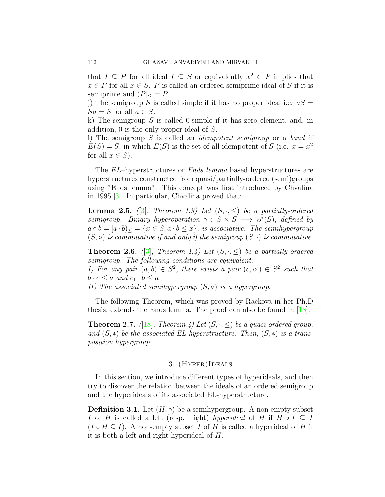that  $I \subseteq P$  for all ideal  $I \subseteq S$  or equivalently  $x^2 \in P$  implies that  $x \in P$  for all  $x \in S$ . *P* is called an ordered semiprime ideal of *S* if it is semiprime and  $(P<sub>z</sub> = P$ .

j) The semigroup *S* is called simple if it has no proper ideal i.e.  $aS =$  $Sa = S$  for all  $a \in S$ .

k) The semigroup *S* is called 0-simple if it has zero element, and, in addition, 0 is the only proper ideal of *S*.

l) The semigroup *S* is called an *idempotent semigroup* or a *band* if  $E(S) = S$ , in which  $E(S)$  is the set of all idempotent of *S* (i.e.  $x = x^2$ ) for all  $x \in S$ ).

The *EL*–hyperstructures or *Ends lemma* based hyperstructures are hyperstructures constructed from quasi/partially-ordered (semi)groups using "Ends lemma". This concept was first introduced by Chvalina in 1995[[3\]](#page-15-2). In particular, Chvalina proved that:

**Lemma 2.5.**  $(3)$ *, Theorem 1.3) Let*  $(S, \cdot, \leq)$  *be a partially-ordered semigroup. Binary hyperoperation*  $\circ$  :  $S \times S \longrightarrow \wp^*(S)$ , defined by  $a \circ b = [a \cdot b]_{\leq} = \{x \in S, a \cdot b \leq x\},$  is associative. The semihypergroup  $(S, \circ)$  *is commutative if and only if the semigroup*  $(S, \cdot)$  *is commutative.* 

**Theorem 2.6.** ([[3\]](#page-15-2), Theorem 1.4) Let  $(S, \cdot, \leq)$  be a partially-ordered *semigroup. The following conditions are equivalent: I)* For any pair  $(a, b) \in S^2$ , there exists a pair  $(c, c_1) \in S^2$  such that

 $b \cdot c \leq a$  *and*  $c_1 \cdot b \leq a$ *.* 

*II)* The associated semihypergroup  $(S, ∘)$  *is a hypergroup.* 

The following Theorem, which was proved by Rackova in her Ph.D thesis, extends the Ends lemma. The proof can also be found in [\[18\]](#page-16-3).

**Theorem 2.7.** *(*[\[18](#page-16-3)*]*, *Theorem 4) Let*  $(S, \cdot, \leq)$  *be a quasi-ordered group, and*  $(S, *)$  *be the associated EL-hyperstructure. Then,*  $(S, *)$  *is a transposition hypergroup.*

## 3. (Hyper)Ideals

In this section, we introduce different types of hyperideals, and then try to discover the relation between the ideals of an ordered semigroup and the hyperideals of its associated EL-hyperstructure.

**Definition 3.1.** Let  $(H, \circ)$  be a semihypergroup. A non-empty subset *I* of *H* is called a left (resp. right) *hyperideal* of *H* if  $H \circ I \subseteq I$  $(I \circ H \subseteq I)$ . A non-empty subset *I* of *H* is called a hyperideal of *H* if it is both a left and right hyperideal of *H*.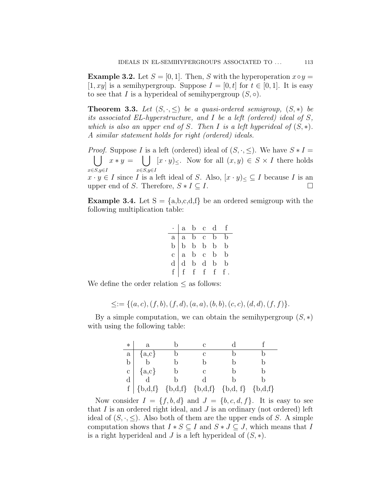**Example 3.2.** Let  $S = [0, 1]$ . Then, *S* with the hyperoperation  $x \circ y =$ [1, xy] is a semihypergroup. Suppose  $I = [0, t]$  for  $t \in [0, 1]$ . It is easy to see that *I* is a hyperideal of semihypergroup  $(S, \circ)$ .

<span id="page-4-0"></span>**Theorem 3.3.** Let  $(S, \cdot, \leq)$  be a quasi-ordered semigroup,  $(S, *)$  be *its associated EL-hyperstructure, and I be a left (ordered) ideal of S, which is also an upper end of*  $S$ *. Then*  $I$  *is a left hyperideal of*  $(S, *)$ *. A similar statement holds for right (ordered) ideals.*

*Proof.* Suppose *I* is a left (ordered) ideal of  $(S, \cdot, \leq)$ . We have  $S * I =$ ∪ *x∈S,y∈I*  $x * y =$   $\begin{pmatrix} \end{pmatrix}$ *x∈S,y∈I*  $[x \cdot y] \leq$ . Now for all  $(x, y) \in S \times I$  there holds  $x \cdot y \in I$  since *I* is a left ideal of *S*. Also,  $[x \cdot y] \leq \subseteq I$  because *I* is an upper end of *S*. Therefore,  $S * I \subseteq I$ . upper end of *S*. Therefore,  $S * I \subseteq I$ .

<span id="page-4-1"></span>**Example 3.4.** Let  $S = \{a,b,c,d,f\}$  be an ordered semigroup with the following multiplication table:

| $\cdot$   a b c d f                                                                                                                                                                |  |  |
|------------------------------------------------------------------------------------------------------------------------------------------------------------------------------------|--|--|
|                                                                                                                                                                                    |  |  |
|                                                                                                                                                                                    |  |  |
|                                                                                                                                                                                    |  |  |
|                                                                                                                                                                                    |  |  |
| $\begin{tabular}{ c c c c } \hline a & a & b & c & b & b \\ \hline b & b & b & b & b & b \\ c & a & b & c & b & b \\ d & b & d & b & b & b \\ f & f & f & f & f & f \end{tabular}$ |  |  |

We define the order relation  $\leq$  as follows:

$$
\leq := \{ (a, c), (f, b), (f, d), (a, a), (b, b), (c, c), (d, d), (f, f) \}.
$$

By a simple computation, we can obtain the semihypergroup  $(S, *)$ with using the following table:

| $\ast$                                      | $\rm{a}$ |   |                                   |           |
|---------------------------------------------|----------|---|-----------------------------------|-----------|
|                                             | ${a,c}$  | C |                                   |           |
| a<br>b                                      |          |   |                                   |           |
| $\begin{bmatrix} 1 \\ 0 \\ 0 \end{bmatrix}$ | ${a,c}$  | C |                                   |           |
|                                             |          |   |                                   |           |
| $\mathbf f$                                 |          |   | ${b,d,f} {b,d,f} {b,d,f} {b,d,f}$ | ${b,d,f}$ |

Now consider  $I = \{f, b, d\}$  and  $J = \{b, c, d, f\}$ . It is easy to see that *I* is an ordered right ideal, and *J* is an ordinary (not ordered) left ideal of  $(S, \cdot, \leq)$ . Also both of them are the upper ends of *S*. A simple computation shows that  $I * S \subseteq I$  and  $S * J \subseteq J$ , which means that *I* is a right hyperideal and *J* is a left hyperideal of (*S, ∗*).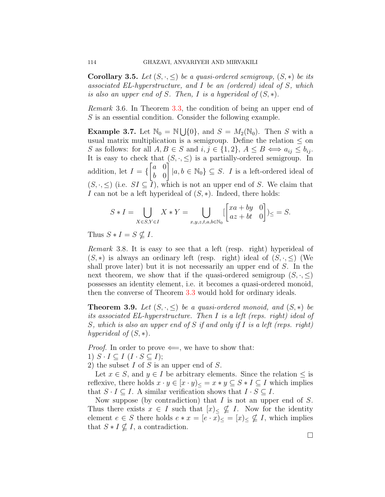**Corollary 3.5.** *Let*  $(S, \cdot, \leq)$  *be a quasi-ordered semigroup,*  $(S, *)$  *be its associated EL-hyperstructure, and I be an (ordered) ideal of S, which is also an upper end of S. Then, I is a hyperideal of*  $(S, *)$ *.* 

*Remark* 3.6*.* In Theorem [3.3,](#page-4-0) the condition of being an upper end of *S* is an essential condition. Consider the following example.

**Example 3.7.** Let  $\mathbb{N}_0 = \mathbb{N} \cup \{0\}$ , and  $S = M_2(\mathbb{N}_0)$ . Then *S* with a usual matrix multiplication is a semigroup. Define the relation  $\leq$  on *S* as follows: for all  $A, B \in S$  and  $i, j \in \{1, 2\}, A \leq B \iff a_{ij} \leq b_{ij}$ . It is easy to check that  $(S, \cdot, \leq)$  is a partially-ordered semigroup. In addition, let *I* = *{* [ *a* 0 *b* 0  $\vec{\mathsf{I}}$  $|a, b \in \mathbb{N}_0$   $\subseteq$  *S*. *I* is a left-ordered ideal of  $(S, \cdot, \leq)$  (i.e.  $SI \subseteq \overline{I}$ ), which is not an upper end of *S*. We claim that *I* can not be a left hyperideal of  $(S, ∗)$ . Indeed, there holds:

$$
S * I = \bigcup_{X \in S, Y \in I} X * Y = \bigcup_{x,y,z,t,a,b \in \mathbb{N}_0} \left[ \begin{bmatrix} xa + by & 0 \\ az + bt & 0 \end{bmatrix} \right] \leq S.
$$

Thus  $S * I = S \nsubseteq I$ .

<span id="page-5-0"></span>*Remark* 3.8*.* It is easy to see that a left (resp. right) hyperideal of  $(S, *)$  is always an ordinary left (resp. right) ideal of  $(S, \cdot, \leq)$  (We shall prove later) but it is not necessarily an upper end of *S*. In the next theorem, we show that if the quasi-ordered semigroup  $(S, \cdot, \leq)$ possesses an identity element, i.e. it becomes a quasi-ordered monoid, then the converse of Theorem [3.3](#page-4-0) would hold for ordinary ideals.

<span id="page-5-1"></span>**Theorem 3.9.** *Let*  $(S, \cdot, \leq)$  *be a quasi-ordered monoid, and*  $(S, *)$  *be its associated EL-hyperstructure. Then I is a left (reps. right) ideal of S, which is also an upper end of S if and only if I is a left (reps. right) hyperideal of*  $(S, *)$ *.* 

*Proof.* In order to prove  $\Leftarrow$ , we have to show that:

1)  $S \cdot I \subseteq I$   $(I \cdot S \subseteq I);$ 

2) the subset *I* of *S* is an upper end of *S*.

Let  $x \in S$ , and  $y \in I$  be arbitrary elements. Since the relation  $\leq$  is reflexive, there holds  $x \cdot y \in [x \cdot y]_{\leq} = x * y \subseteq S * I \subseteq I$  which implies that  $S \cdot I \subseteq I$ . A similar verification shows that  $I \cdot S \subseteq I$ .

Now suppose (by contradiction) that *I* is not an upper end of *S*. Thus there exists  $x \in I$  such that  $[x] \in \mathcal{I}$ . Now for the identity element  $e \in S$  there holds  $e * x = [e \cdot x] \leq [x] \leq \nsubseteq I$ , which implies that  $S * I \nsubseteq I$ , a contradiction.

□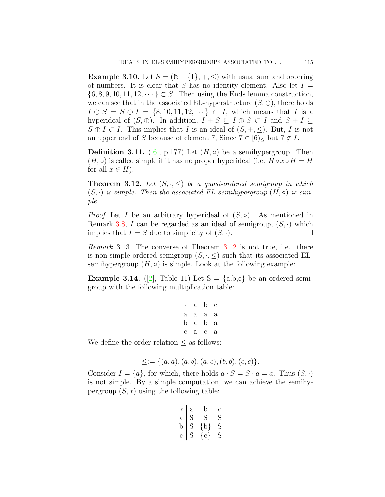**Example 3.10.** Let  $S = (\mathbb{N} - \{1\}, +, \leq)$  with usual sum and ordering of numbers. It is clear that *S* has no identity element. Also let  $I =$ *{*6*,* 8*,* 9*,* 10*,* 11*,* 12*, · · · } ⊂ S*. Then using the Ends lemma construction, we can see that in the associated EL-hyperstructure  $(S, \oplus)$ , there holds  $I \oplus S = S \oplus I = \{8, 10, 11, 12, \dots\} \subset I$ , which means that *I* is a hyperideal of  $(S, \oplus)$ . In addition,  $I + S \subseteq I \oplus S \subset I$  and  $S + I \subseteq$  $S \oplus I \subset I$ . This implies that *I* is an ideal of  $(S, +, \leq)$ . But, *I* is not an upper end of *S* because of element 7, Since  $7 \in [6]$ <sub><</sub> but  $7 \notin I$ .

**Definition 3.11.** ([[6\]](#page-15-9), p.177) Let  $(H, \circ)$  be a semihypergroup. Then  $(H, \circ)$  is called simple if it has no proper hyperideal (i.e.  $H \circ x \circ H = H$ for all  $x \in H$ ).

<span id="page-6-0"></span>**Theorem 3.12.** Let  $(S, \cdot, \leq)$  be a quasi-ordered semigroup in which  $(S, \cdot)$  *is simple. Then the associated EL-semihypergroup*  $(H, \circ)$  *is simple.*

*Proof.* Let *I* be an arbitrary hyperideal of  $(S, \circ)$ . As mentioned in Remark [3.8](#page-5-0), *I* can be regarded as an ideal of semigroup,  $(S, \cdot)$  which implies that  $I = S$  due to simplicity of  $(S, \cdot)$ .

*Remark* 3.13*.* The converse of Theorem [3.12](#page-6-0) is not true, i.e. there is non-simple ordered semigroup  $(S, \cdot, \leq)$  such that its associated ELsemihypergroup  $(H, \circ)$  is simple. Look at the following example:

<span id="page-6-1"></span>**Example 3.14.** ([[2](#page-15-10)], Table 11) Let  $S = \{a,b,c\}$  be an ordered semigroup with the following multiplication table:

|              | $\mathbf{a}$ | b            | С            |
|--------------|--------------|--------------|--------------|
| $\mathbf{a}$ | $\mathbf{a}$ | $\mathbf{a}$ | а            |
| b            | $\mathbf{a}$ | b            | $\mathbf{a}$ |
| C            | $\mathbf{a}$ | с            | а            |
|              |              |              |              |

We define the order relation *≤* as follows:

$$
\leq := \{(a, a), (a, b), (a, c), (b, b), (c, c)\}.
$$

Consider  $I = \{a\}$ , for which, there holds  $a \cdot S = S \cdot a = a$ . Thus  $(S, \cdot)$ is not simple. By a simple computation, we can achieve the semihypergroup  $(S, *)$  using the following table:

| $^\ast$     | $\rm{a}$ | b       | С |
|-------------|----------|---------|---|
| $\mathbf a$ | S        | S       | S |
| b           | S        | {b}     | S |
| С           | S        | $\{c\}$ | S |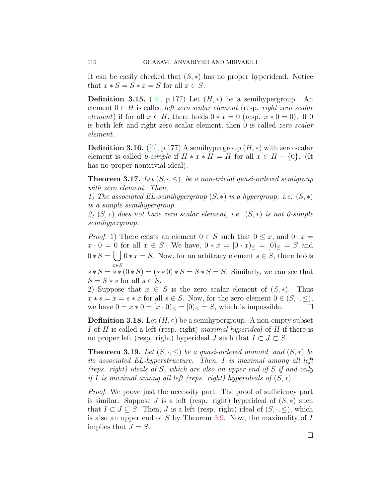It can be easily checked that (*S, ∗*) has no proper hyperidead. Notice that  $x * S = S * x = S$  for all  $x \in S$ .

**Definition 3.15.** ([\[6](#page-15-9)], p.177) Let  $(H, *)$  be a semihypergroup. An element 0 *∈ H* is called *left zero scalar element* (resp. *right zero scalar element*) if for all  $x \in H$ , there holds  $0 * x = 0$  (resp.  $x * 0 = 0$ ). If 0 is both left and right zero scalar element, then 0 is called *zero scalar element*.

**Definition 3.16.** ([[6\]](#page-15-9), p.177) A semihypergroup  $(H, *)$  with zero scalar element is called *0-simple* if  $H * x * H = H$  for all  $x \in H - \{0\}$ . (It has no proper nontrivial ideal).

**Theorem 3.17.** Let  $(S, \cdot, \leq)$ , be a non-trivial quasi-ordered semigroup *with zero element. Then,*

*1) The associated EL-semihypergroup* (*S, ∗*) *is a hypergroup. i.e.* (*S, ∗*) *is a simple semihypergroup.*

*2)* (*S, ∗*) *does not have zero scalar element, i.e.* (*S, ∗*) *is not 0-simple semihypergroup.*

*Proof.* 1) There exists an element  $0 \in S$  such that  $0 \leq x$ , and  $0 \cdot x =$ *x* ⋅ 0 = 0 for all *x* ∈ *S*. We have, 0 \* *x* =  $[0 \cdot x)$  ≤ =  $[0)$  ≤ = *S* and  $0 * S = \begin{bmatrix} 0 * x = S. \end{bmatrix}$  Now, for an arbitrary element  $s \in S$ , there holds *x∈S*

 $s * S = s * (0 * S) = (s * 0) * S = S * S = S$ . Similarly, we can see that  $S = S * s$  for all  $s \in S$ .

2) Suppose that  $x \in S$  is the zero scalar element of  $(S, *)$ . Thus  $x * s = x = s * x$  for all  $s \in S$ . Now, for the zero element  $0 \in (S, \cdot, \leq),$ we have  $0 = x * 0 = [x \cdot 0] \leq 0$  =  $[S, \infty]$  which is impossible. □

**Definition 3.18.** Let  $(H, \circ)$  be a semihypergroup. A non-empty subset *I* of *H* is called a left (resp. right) *maximal hyperideal* of *H* if there is no proper left (resp. right) hyperideal *J* such that  $I \subset J \subset S$ .

<span id="page-7-0"></span>**Theorem 3.19.** *Let*  $(S, \cdot, \leq)$  *be a quasi-ordered monoid, and*  $(S, *)$  *be its associated EL-hyperstructure. Then, I is maximal among all left (reps. right) ideals of S, which are also an upper end of S if and only if I is maximal among all left (reps. right) hyperideals of*  $(S, *)$ .

*Proof.* We prove just the necessity part. The proof of sufficiency part is similar. Suppose *J* is a left (resp. right) hyperideal of  $(S, *)$  such that *I* ⊂ *J* ⊆ *S*. Then, *J* is a left (resp. right) ideal of  $(S, \cdot, \leq)$ , which is also an upper end of *S* by Theorem [3.9.](#page-5-1) Now, the maximality of *I* implies that  $J = S$ .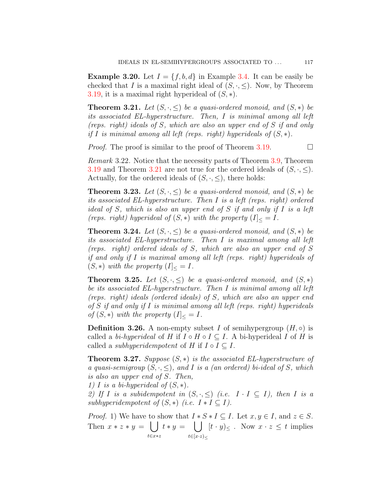**Example 3.20.** Let  $I = \{f, b, d\}$  in Example [3.4.](#page-4-1) It can be easily be checked that *I* is a maximal right ideal of  $(S, \cdot, \leq)$ . Now, by Theorem [3.19](#page-7-0), it is a maximal right hyperideal of (*S, ∗*).

<span id="page-8-0"></span>**Theorem 3.21.** Let  $(S, \cdot, \leq)$  be a quasi-ordered monoid, and  $(S, *)$  be *its associated EL-hyperstructure. Then, I is minimal among all left (reps. right) ideals of S, which are also an upper end of S if and only if I is minimal among all left (reps. right) hyperideals of* (*S, ∗*)*.*

*Proof.* The proof is similar to the proof of Theorem [3.19.](#page-7-0)  $\Box$ 

*Remark* 3.22*.* Notice that the necessity parts of Theorem [3.9](#page-5-1), Theorem [3.19](#page-7-0) and Theorem [3.21](#page-8-0) are not true for the ordered ideals of  $(S, \cdot, \leq)$ . Actually, for the ordered ideals of  $(S, \cdot, \leq)$ , there holds:

**Theorem 3.23.** *Let*  $(S, \cdot, \leq)$  *be a quasi-ordered monoid, and*  $(S, *)$  *be its associated EL-hyperstructure. Then I is a left (reps. right) ordered ideal of S, which is also an upper end of S if and only if I is a left (reps. right)* hyperideal of  $(S, *)$  *with the property*  $(I]_{\leq} = I$ *.* 

**Theorem 3.24.** *Let*  $(S, \cdot, \leq)$  *be a quasi-ordered monoid, and*  $(S, *)$  *be its associated EL-hyperstructure. Then I is maximal among all left (reps. right) ordered ideals of S, which are also an upper end of S if and only if I is maximal among all left (reps. right) hyperideals of*  $(S, *)$  *with the property*  $(I]_{\leq} = I$ *.* 

**Theorem 3.25.** *Let*  $(S, \cdot, \leq)$  *be a quasi-ordered monoid, and*  $(S, *)$ *be its associated EL-hyperstructure. Then I is minimal among all left (reps. right) ideals (ordered ideals) of S, which are also an upper end of S if and only if I is minimal among all left (reps. right) hyperideals of*  $(S, *)$  *with the property*  $(I]_{\leq} = I$ *.* 

**Definition 3.26.** A non-empty subset *I* of semihypergroup  $(H, \circ)$  is called a *bi-hyperideal* of *H* if  $I \circ H \circ I \subseteq I$ . A bi-hyperideal *I* of *H* is called a *subhyperidempotent* of  $H$  if  $I \circ I \subseteq I$ .

<span id="page-8-1"></span>**Theorem 3.27.** *Suppose* (*S, ∗*) *is the associated EL-hyperstructure of a quasi-semigroup*  $(S, \cdot, \leq)$ *, and I is a (an ordered) bi-ideal of S, which is also an upper end of S. Then,*

*1) I is a bi-hyperideal of* (*S, ∗*)*.*

*2)* If *I* is a subidempotent in  $(S, \cdot, \leq)$  (i.e.  $I \cdot I \subseteq I$ ), then *I* is a *subhyperidempotent of*  $(S, *)$  *(i.e.*  $I * I \subseteq I$ *).* 

*Proof.* 1) We have to show that  $I * S * I \subseteq I$ . Let  $x, y \in I$ , and  $z \in S$ . Then  $x * z * y = \begin{bmatrix} \end{bmatrix}$ *t∈x∗z*  $t * y =$   $\begin{pmatrix} \end{pmatrix}$ *t∈*[*x·z*)*<sup>≤</sup>*  $[t \cdot y] \leq \ldots$  Now  $x \cdot z \leq t$  implies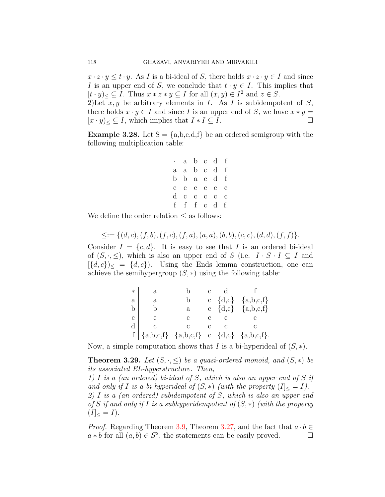$x \cdot z \cdot y \leq t \cdot y$ . As *I* is a bi-ideal of *S*, there holds  $x \cdot z \cdot y \in I$  and since *I* is an upper end of *S*, we conclude that  $t \cdot y \in I$ . This implies that  $[t \cdot y] \leq \subseteq I$ . Thus  $x * z * y \subseteq I$  for all  $(x, y) \in I^2$  and  $z \in S$ . 2) Let  $x, y$  be arbitrary elements in  $I$ . As  $I$  is subidempotent of  $S$ ,

there holds  $x \cdot y \in I$  and since *I* is an upper end of *S*, we have  $x * y =$  $[x \cdot y]_{<} \subseteq I$ , which implies that  $I * I \subseteq I$ .

**Example 3.28.** Let  $S = \{a,b,c,d,f\}$  be an ordered semigroup with the following multiplication table:

| $\cdot$   a <u>b c d f</u>                                               |  |  |
|--------------------------------------------------------------------------|--|--|
|                                                                          |  |  |
| a a b c d f<br>b b a c d f<br>c c c c c c<br>d c c c c c<br>f f f c d f. |  |  |
|                                                                          |  |  |
|                                                                          |  |  |
|                                                                          |  |  |

We define the order relation  $\leq$  as follows:

$$
\leq := \{ (d, c), (f, b), (f, c), (f, a), (a, a), (b, b), (c, c), (d, d), (f, f) \}.
$$

Consider  $I = \{c, d\}$ . It is easy to see that *I* is an ordered bi-ideal of  $(S, \cdot, \leq)$ , which is also an upper end of *S* (i.e.  $I \cdot S \cdot I \subseteq I$  and  $[\{d, c\}]$  =  $\{d, c\}$ ). Using the Ends lemma construction, one can achieve the semihypergroup  $(S, *)$  using the following table:

| $\ast$       | a                                            |   | d |                           |
|--------------|----------------------------------------------|---|---|---------------------------|
| a            | $\mathbf a$                                  |   |   | c $\{d,c\}$ $\{a,b,c,f\}$ |
| b            |                                              | a |   | c $\{d,c\}$ $\{a,b,c,f\}$ |
| $\mathbf{c}$ | $\mathbf{c}$                                 | С |   |                           |
| $\rm d$      |                                              |   |   |                           |
|              | $f   {a,b,c,f} {a,b,c,f} c {d,c} {a,b,c,f}.$ |   |   |                           |

Now, a simple computation shows that *I* is a bi-hyperideal of (*S, ∗*).

**Theorem 3.29.** *Let*  $(S, \cdot, \leq)$  *be a quasi-ordered monoid, and*  $(S, *)$  *be its associated EL-hyperstructure. Then,*

*1) I is a (an ordered) bi-ideal of S, which is also an upper end of S if and only if I is a bi-hyperideal of*  $(S, *)$  *(with the property*  $(I] \leq I$ *). 2) I is a (an ordered) subidempotent of S, which is also an upper end of S if and only if I is a subhyperidempotent of* (*S, ∗*) *(with the property*  $(I<sub>0</sub> = I).$ 

*Proof.* Regarding Theorem [3.9](#page-5-1), Theorem [3.27,](#page-8-1) and the fact that  $a \cdot b \in$  $a * b$  for all  $(a, b) \in S^2$ , the statements can be easily proved. □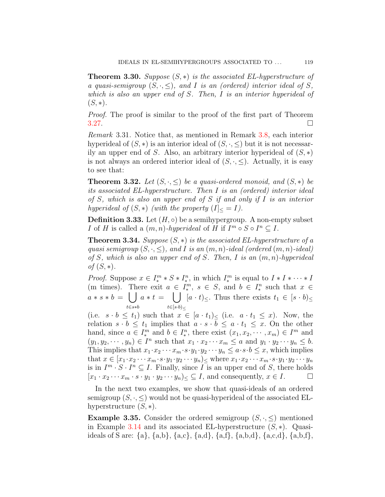**Theorem 3.30.** *Suppose* (*S, ∗*) *is the associated EL-hyperstructure of a* quasi-semigroup  $(S, \cdot, \leq)$ , and *I* is an (ordered) interior ideal of *S*, *which is also an upper end of S. Then, I is an interior hyperideal of*  $(S, *)$ .

*Proof.* The proof is similar to the proof of the first part of Theorem  $3.27.$  $3.27.$ 

*Remark* 3.31*.* Notice that, as mentioned in Remark [3.8](#page-5-0), each interior hyperideal of  $(S, *)$  is an interior ideal of  $(S, \cdot, \leq)$  but it is not necessarily an upper end of *S*. Also, an arbitrary interior hyperideal of (*S, ∗*) is not always an ordered interior ideal of  $(S, \cdot, \le)$ . Actually, it is easy to see that:

**Theorem 3.32.** *Let*  $(S, \cdot, \leq)$  *be a quasi-ordered monoid, and*  $(S, *)$  *be its associated EL-hyperstructure. Then I is an (ordered) interior ideal of S, which is also an upper end of S if and only if I is an interior hyperideal of*  $(S, *)$  *(with the property*  $(I] \leq I$ *).* 

**Definition 3.33.** Let  $(H, \circ)$  be a semihypergroup. A non-empty subset *I* of *H* is called a  $(m, n)$ *-hyperideal* of *H* if  $I^m \circ S \circ I^n \subseteq I$ .

**Theorem 3.34.** *Suppose* (*S, ∗*) *is the associated EL-hyperstructure of a quasi semigroup*  $(S, \cdot, \leq)$ *, and I is an*  $(m, n)$ *-ideal (ordered*  $(m, n)$ *-ideal) of S, which is also an upper end of S. Then, I is an* (*m, n*)*-hyperideal of*  $(S, *)$ *.* 

*Proof.* Suppose  $x \in I^m_* * S * I^n_*$ , in which  $I^m_*$  is equal to  $I * I * \cdots * I$  $\lim_{x \to \infty} \frac{a}{x} = \lim_{x \to \infty} a$   $\lim_{x \to \infty} a$   $\lim_{x \to \infty} a$  *n s*  $\in S$ , and *∗* , *s ∈ S*, and *b ∈ I n ∗* such that *x ∈*  $a * s * b = \begin{pmatrix} \end{pmatrix}$ *t∈s∗b*  $a * t = \begin{pmatrix} \end{pmatrix}$ *t∈*[*s·b*)*<sup>≤</sup>*  $[a \cdot t] \leq$ . Thus there exists  $t_1 \in [s \cdot b] \leq$ 

(i.e.  $s \cdot b \leq t_1$ ) such that  $x \in [a \cdot t_1]_<$  (i.e.  $a \cdot t_1 \leq x$ ). Now, the relation  $s \cdot b \leq t_1$  implies that  $a \cdot s \cdot b \leq a \cdot t_1 \leq x$ . On the other hand, since  $a \in I^m_*$  *and <i>b* ∈  $I_*^n$  $x^{n}$ , there exist  $(x_1, x_2, \cdots, x_m) \in I^m$  and  $(y_1, y_2, \dots, y_n) \in I^n$  such that  $x_1 \cdot x_2 \cdots x_m \le a$  and  $y_1 \cdot y_2 \cdots y_n \le b$ . This implies that  $x_1 \cdot x_2 \cdot \cdot \cdot x_m \cdot s \cdot y_1 \cdot y_2 \cdot \cdot \cdot y_n \leq a \cdot s \cdot b \leq x$ , which implies that  $x \in [x_1 \cdot x_2 \cdots x_m \cdot s \cdot y_1 \cdot y_2 \cdots y_n]$  where  $x_1 \cdot x_2 \cdots x_m \cdot s \cdot y_1 \cdot y_2 \cdots y_n$ is in  $I^m \cdot S \cdot I^n \subseteq I$ . Finally, since *I* is an upper end of *S*, there holds  $[x_1 \cdot x_2 \cdots x_m \cdot s \cdot y_1 \cdot y_2 \cdots y_n] \leq \subseteq I$ , and consequently,  $x \in I$ . □

In the next two examples, we show that quasi-ideals of an ordered semigroup  $(S, \cdot, \leq)$  would not be quasi-hyperideal of the associated ELhyperstructure (*S, ∗*).

**Example 3.35.** Consider the ordered semigroup  $(S, \cdot, \leq)$  mentioned in Example [3.14](#page-6-1) and its associated EL-hyperstructure (*S, ∗*). Quasiideals of S are: *{*a*}*, *{*a,b*}*, *{*a,c*}*, *{*a,d*}*, *{*a,f*}*, *{*a,b,d*}*, *{*a,c,d*}*, *{*a,b,f*}*,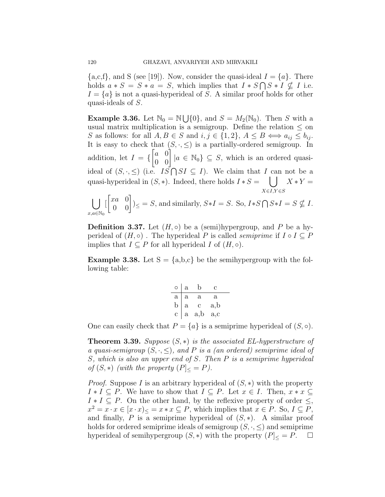${a, c, f}$ , and *S* (see [19]). Now, consider the quasi-ideal  $I = \{a\}$ . There holds  $a * S = S * a = S$ , which implies that  $I * S \cap S * I \nsubseteq I$  i.e.  $I = \{a\}$  is not a quasi-hyperideal of *S*. A similar proof holds for other quasi-ideals of *S*.

**Example 3.36.** Let  $\mathbb{N}_0 = \mathbb{N} \cup \{0\}$ , and  $S = M_2(\mathbb{N}_0)$ . Then *S* with a usual matrix multiplication is a semigroup. Define the relation  $\leq$  on *S* as follows: for all  $A, B \in S$  and  $i, j \in \{1, 2\}, A \leq B \iff a_{ij} \leq b_{ij}$ . It is easy to check that  $(S, \cdot, \leq)$  is a partially-ordered semigroup. In addition, let *I* = *{*  $\begin{bmatrix} a & 0 \\ 0 & 0 \end{bmatrix}$   $|a \in \mathbb{N}_0$   $\subseteq$  *S*, which is an ordered quasiideal of  $(S, \cdot, \leq)$  (i.e.  $I\overline{S} \cap SI \subseteq I$ ). We claim that *I* can not be a quasi-hyperideal in  $(S, *)$ . Indeed, there holds  $I * S = \begin{bmatrix} \end{bmatrix}$ *X∈I,Y ∈S X ∗ Y* =  $\mathsf{L}$ 

$$
\bigcup_{x,a\in\mathbb{N}_0} \begin{bmatrix} xa & 0 \ 0 & 0 \end{bmatrix} \leq S, \text{ and similarly, } S \ast I = S. \text{ So, } I \ast S \bigcap S \ast I = S \nsubseteq I.
$$

**Definition 3.37.** Let  $(H, \circ)$  be a (semi)hypergroup, and P be a hyperideal of  $(H, \circ)$ . The hyperideal *P* is called *semiprime* if  $I \circ I \subseteq P$ implies that  $I \subseteq P$  for all hyperideal  $I$  of  $(H, \circ)$ .

**Example 3.38.** Let  $S = \{a,b,c\}$  be the semihypergroup with the following table:

| $\circ$                                | a            |          | с   |
|----------------------------------------|--------------|----------|-----|
| $\begin{bmatrix} a \\ b \end{bmatrix}$ | $\rm{a}$     | $\rm{a}$ | а   |
|                                        | a            | C.       | a,b |
| $\mathbf{c}$                           | $\mathbf{a}$ | a,b      | a,c |

One can easily check that  $P = \{a\}$  is a semiprime hyperideal of  $(S, \circ)$ .

**Theorem 3.39.** *Suppose* (*S, ∗*) *is the associated EL-hyperstructure of a quasi-semigroup*  $(S, \cdot, \leq)$ *, and P is a (an ordered) semiprime ideal of S, which is also an upper end of S. Then P is a semiprime hyperideal of*  $(S, *)$  *(with the property*  $(P]_{\leq} = P$ *).* 

*Proof.* Suppose *I* is an arbitrary hyperideal of (*S, ∗*) with the property  $I * I \subseteq P$ . We have to show that  $I \subseteq P$ . Let  $x \in I$ . Then,  $x * x \subseteq I$  $I * I \subseteq P$ . On the other hand, by the reflexive property of order  $\leq$ ,  $x^2 = x \cdot x \in [x \cdot x] \leq x * x \subseteq P$ , which implies that  $x \in P$ . So,  $I \subseteq P$ , and finally, *P* is a semiprime hyperideal of  $(S, *)$ . A similar proof holds for ordered semiprime ideals of semigroup  $(S, \cdot, \leq)$  and semiprime hyperideal of semihypergroup  $(S, *)$  with the property  $(P]_{\leq} = P$ .  $\Box$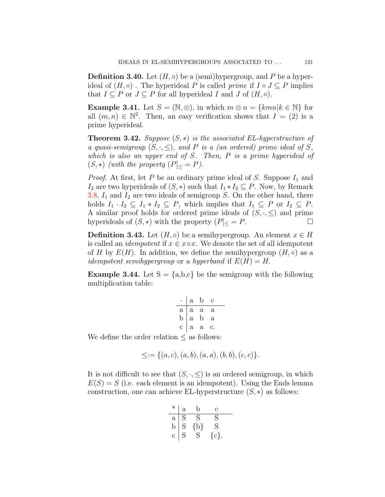**Definition 3.40.** Let  $(H, \circ)$  be a (semi)hypergroup, and P be a hyperideal of  $(H, \circ)$ . The hyperideal *P* is called *prime* if  $I \circ J \subseteq P$  implies that  $I \subseteq P$  or  $J \subseteq P$  for all hyperideal *I* and *J* of  $(H, \circ)$ .

**Example 3.41.** Let  $S = (\mathbb{N}, \otimes)$ , in which  $m \otimes n = \{kmn | k \in \mathbb{N}\}\$  for all  $(m, n) \in \mathbb{N}^2$ . Then, an easy verification shows that  $I = (2)$  is a prime hyperideal.

**Theorem 3.42.** *Suppose* (*S, ∗*) *is the associated EL-hyperstructure of a* quasi-semigroup  $(S, \cdot, \leq)$ , and P is a (an ordered) prime ideal of S, *which is also an upper end of S. Then, P is a prime hyperideal of*  $(S, *)$  *(with the property*  $(P]_{\leq} = P$ *).* 

*Proof.* At first, let  $P$  be an ordinary prime ideal of  $S$ . Suppose  $I_1$  and *I*<sub>2</sub> are two hyperideals of  $(S, *)$  such that  $I_1 * I_2 \subseteq P$ . Now, by Remark [3.8](#page-5-0), *I*<sup>1</sup> and *I*<sup>2</sup> are two ideals of semigroup *S*. On the other hand, there holds  $I_1 \cdot I_2 \subseteq I_1 * I_2 \subseteq P$ , which implies that  $I_1 \subseteq P$  or  $I_2 \subseteq P$ . A similar proof holds for ordered prime ideals of  $(S, \cdot, \leq)$  and prime hyperideals of  $(S, *)$  with the property  $(P] \leq P$ . □

**Definition 3.43.** Let  $(H, \circ)$  be a semihypergroup. An element  $x \in H$ is called an *idempotent* if  $x \in x \circ x$ . We denote the set of all idempotent of *H* by  $E(H)$ . In addition, we define the semihypergroup  $(H, \circ)$  as a *idempotent semihypergroup* or a *hyperband* if  $E(H) = H$ .

**Example 3.44.** Let  $S = \{a,b,c\}$  be the semigroup with the following multiplication table:

|                                        |     | a b               | с  |  |
|----------------------------------------|-----|-------------------|----|--|
| $\begin{bmatrix} a \\ b \end{bmatrix}$ | a a |                   | a  |  |
|                                        |     | a b               | a  |  |
|                                        |     | $c \mid a \mid a$ | c. |  |
|                                        |     |                   |    |  |

We define the order relation *≤* as follows:

$$
\leq := \{(a, c), (a, b), (a, a), (b, b), (c, c)\}.
$$

It is not difficult to see that  $(S, \cdot, \leq)$  is an ordered semigroup, in which  $E(S) = S$  (i.e. each element is an idempotent). Using the Ends lemma construction, one can achieve EL-hyperstructure  $(S, *)$  as follows:

| $\ast$       | $\mathbf{a}$ | D   | С        |
|--------------|--------------|-----|----------|
| $\mathbf{a}$ | S            | S   | S        |
| b            | $\mathbf S$  | {b} | S        |
| Ć            | 5            | 5   | $\{c\}.$ |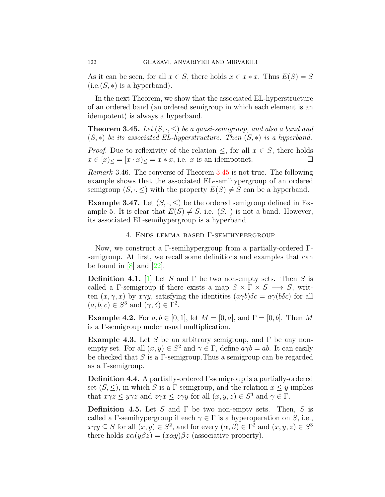As it can be seen, for all  $x \in S$ , there holds  $x \in x * x$ . Thus  $E(S) = S$  $(i.e.(S, *)$  is a hyperband).

In the next Theorem, we show that the associated EL-hyperstructure of an ordered band (an ordered semigroup in which each element is an idempotent) is always a hyperband.

<span id="page-13-0"></span>**Theorem 3.45.** *Let*  $(S, \cdot, \leq)$  *be a quasi-semigroup, and also a band and* (*S, ∗*) *be its associated EL-hyperstructure. Then* (*S, ∗*) *is a hyperband.*

*Proof.* Due to reflexivity of the relation  $\leq$ , for all  $x \in S$ , there holds  $x \in [x]_<$  =  $[x \cdot x]_<$  =  $x * x$ , i.e. *x* is an idempotnet. □

*Remark* 3.46*.* The converse of Theorem [3.45](#page-13-0) is not true. The following example shows that the associated EL-semihypergroup of an ordered semigroup  $(S, \cdot, \leq)$  with the property  $E(S) \neq S$  can be a hyperband.

**Example 3.47.** Let  $(S, \cdot, \leq)$  be the ordered semigroup defined in Example 5. It is clear that  $E(S) \neq S$ , i.e.  $(S, \cdot)$  is not a band. However, its associated EL-semihypergroup is a hyperband.

## 4. Ends lemma based Γ-semihypergroup

Now, we construct a Γ-semihypergroup from a partially-ordered Γsemigroup. At first, we recall some definitions and examples that can be found in  $[8]$  and  $[22]$ .

**Definition 4.1.** [[1\]](#page-15-12) Let *S* and Γ be two non-empty sets. Then *S* is called a Γ-semigroup if there exists a map  $S \times \Gamma \times S \longrightarrow S$ , written  $(x, \gamma, x)$  by  $x \gamma y$ , satisfying the identities  $(a \gamma b)\delta c = a \gamma(b\delta c)$  for all  $(a, b, c) \in S^3$  and  $(\gamma, \delta) \in \Gamma^2$ .

**Example 4.2.** For  $a, b \in [0, 1]$ , let  $M = [0, a]$ , and  $\Gamma = [0, b]$ . Then M is a Γ-semigroup under usual multiplication.

**Example 4.3.** Let *S* be an arbitrary semigroup, and Γ be any nonempty set. For all  $(x, y) \in S^2$  and  $\gamma \in \Gamma$ , define  $a\gamma b = ab$ . It can easily be checked that *S* is a Γ-semigroup.Thus a semigroup can be regarded as a Γ-semigroup.

**Definition 4.4.** A partially-ordered Γ-semigroup is a partially-ordered set  $(S, \leq)$ , in which *S* is a Γ-semigroup, and the relation  $x \leq y$  implies that  $x\gamma z \leq y\gamma z$  and  $z\gamma x \leq z\gamma y$  for all  $(x, y, z) \in S^3$  and  $\gamma \in \Gamma$ .

**Definition 4.5.** Let *S* and Γ be two non-empty sets. Then, *S* is called a Γ-semihypergroup if each  $\gamma \in \Gamma$  is a hyperoperation on *S*, i.e.,  $x \gamma y \subseteq S$  for all  $(x, y) \in S^2$ , and for every  $(\alpha, \beta) \in \Gamma^2$  and  $(x, y, z) \in S^3$ there holds  $x\alpha(y\beta z) = (x\alpha y)\beta z$  (associative property).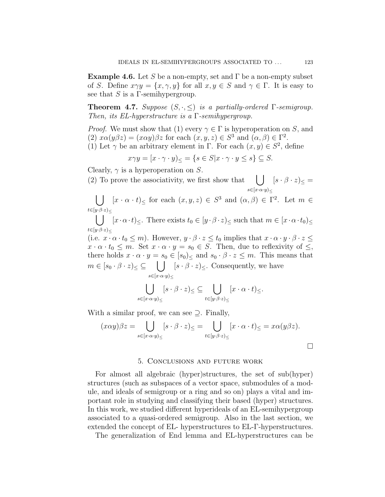**Example 4.6.** Let *S* be a non-empty, set and  $\Gamma$  be a non-empty subset of *S*. Define  $x \gamma y = \{x, \gamma, y\}$  for all  $x, y \in S$  and  $\gamma \in \Gamma$ . It is easy to see that *S* is a Γ-semihypergroup.

**Theorem 4.7.** *Suppose*  $(S, \cdot, \leq)$  *is a partially-ordered* Γ*-semigroup. Then, its EL-hyperstructure is a* Γ*-semihypergroup.*

*Proof.* We must show that (1) every  $\gamma \in \Gamma$  is hyperoperation on *S*, and (2)  $x\alpha(y\beta z) = (x\alpha y)\beta z$  for each  $(x, y, z) \in S^3$  and  $(\alpha, \beta) \in \Gamma^2$ .

(1) Let  $\gamma$  be an arbitrary element in  $\Gamma$ . For each  $(x, y) \in S^2$ , define

$$
x\gamma y = [x \cdot \gamma \cdot y]_{\leq} = \{ s \in S | x \cdot \gamma \cdot y \leq s \} \subseteq S.
$$

Clearly, *γ* is a hyperoperation on *S*.

(2) To prove the associativity, we first show that  $| \ \ |$ *s∈*[*x·α·y*)*<sup>≤</sup>*  $[s \cdot \beta \cdot z]_{\leq} =$ 

∪ *t∈*[*y·β·z*)*<sup>≤</sup>*  $[x \cdot \alpha \cdot t] \leq$  for each  $(x, y, z) \in S^3$  and  $(\alpha, \beta) \in \Gamma^2$ . Let  $m \in$ 

 $\bigcup$   $[x \cdot \alpha \cdot t] \leq$ . There exists  $t_0 \in [y \cdot \beta \cdot z) \leq$  such that  $m \in [x \cdot \alpha \cdot t_0) \leq$ *t∈*[*y·β·z*)*<sup>≤</sup>*

(i.e.  $x \cdot \alpha \cdot t_0 \leq m$ ). However,  $y \cdot \beta \cdot z \leq t_0$  implies that  $x \cdot \alpha \cdot y \cdot \beta \cdot z \leq$  $x \cdot \alpha \cdot t_0 \leq m$ . Set  $x \cdot \alpha \cdot y = s_0 \in S$ . Then, due to reflexivity of  $\leq$ , there holds  $x \cdot \alpha \cdot y = s_0 \in [s_0]_{\le}$  and  $s_0 \cdot \beta \cdot z \leq m$ . This means that  $m \in [s_0 \cdot \beta \cdot z) \leq \subseteq$ *s∈*[*x·α·y*)*<sup>≤</sup>*  $[s \cdot \beta \cdot z] \leq$ . Consequently, we have

$$
\bigcup_{s \in [x \cdot \alpha \cdot y)_{\le}} [s \cdot \beta \cdot z)_{\le} \subseteq \bigcup_{t \in [y \cdot \beta \cdot z)_{\le}} [x \cdot \alpha \cdot t)_{\le}.
$$

With a similar proof, we can see *⊇*. Finally,

$$
(x\alpha y)\beta z = \bigcup_{s\in [x\cdot \alpha \cdot y)_{\le}} [s\cdot \beta \cdot z)_{\le} = \bigcup_{t\in [y\cdot \beta \cdot z)_{\le}} [x\cdot \alpha \cdot t)_{\le} = x\alpha (y\beta z).
$$

## 5. Conclusions and future work

For almost all algebraic (hyper)structures, the set of sub(hyper) structures (such as subspaces of a vector space, submodules of a module, and ideals of semigroup or a ring and so on) plays a vital and important role in studying and classifying their based (hyper) structures. In this work, we studied different hyperideals of an EL-semihypergroup associated to a quasi-ordered semigroup. Also in the last section, we extended the concept of EL-hyperstructures to EL-Γ-hyperstructures.

The generalization of End lemma and EL-hyperstructures can be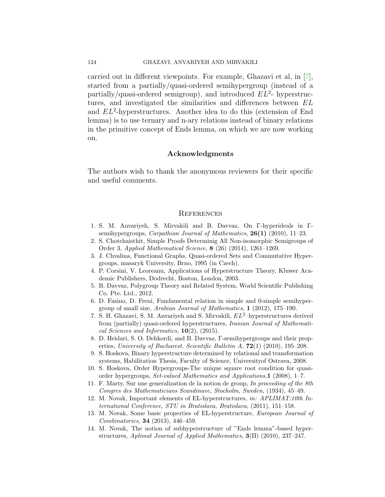#### 124 GHAZAVI, ANVARIYEH AND MIRVAKILI

carried out in different viewpoints. For example, Ghazavi et al, in[[7\]](#page-15-13), started from a partially/quasi-ordered semihypergroup (instead of a partially/quasi-ordered semigroup), and introduced *EL*<sup>2</sup> - hyperstructures, and investigated the similarities and differences between *EL* and *EL*<sup>2</sup> -hyperstructures. Another idea to do this (extension of End lemma) is to use ternary and n-ary relations instead of binary relations in the primitive concept of Ends lemma, on which we are now working on.

## **Acknowledgments**

The authors wish to thank the anonymous reviewers for their specific and useful comments.

## **REFERENCES**

- <span id="page-15-12"></span>1. S. M. Anvariyeh, S. Mirvakili and B. Davvaz, On Γ-hyperideals in Γsemihypergroups, *Carpathian Journal of Mathematics,* **26(1)** (2010), 11–23.
- <span id="page-15-10"></span>2. S. Chotchaisthit, Simple Proofs Determinig All Non-isomorphic Semigroups of Order 3, *Applied Mathematical Science,* **8** (26) (2014), 1261–1269.
- <span id="page-15-2"></span>3. J. Chvalina, Functional Graphs, Quasi-ordered Sets and Commutative Hypergroups, masaryk University, Brno, 1995 (in Czech).
- <span id="page-15-1"></span>4. P. Corsini, V. Leoreanu, Applications of Hyperstructure Theory, Kluwer Academic Publishers, Dodrecht, Boston, London, 2003.
- <span id="page-15-8"></span>5. B. Davvaz, Polygroup Theory and Related System, World Scientific Publishing Co. Pte. Ltd., 2012.
- <span id="page-15-9"></span>6. D. Fasino, D. Freni, Fundamental relation in simple and 0-simple semihypergroup of small size, *Arabian Journal of Mathematics,* **1** (2012), 175–190.
- <span id="page-15-13"></span>7. S. H. Ghazavi, S. M. Anvariyeh and S. Mirvakili, *EL*<sup>2</sup>–hyperstructures derived from (partially) quasi-ordered hyperstructures, *Iranian Journal of Mathematical Sciences and Informatics,* **10**(2), (2015).
- <span id="page-15-11"></span>8. D. Heidari, S. O. Dehkordi, and B. Davvaz, Γ-semihypergroups and their properties, *University of Bucharest. Scientific Bulletin A,* **72**(1) (2010), 195–208.
- <span id="page-15-3"></span>9. S. Hoskova, Binary hyperstructure determined by relational and transformation systems, Habilitation Thesis, Faculty of Science, Universityof Ostrava, 2008.
- <span id="page-15-4"></span>10. S. Hoskova, Order Hypergroups-The unique square root condition for quasiorder hypergroups, *Set-valued Mathematics and Applications,***1** (2008), 1–7.
- <span id="page-15-0"></span>11. F. Marty, Sur une generalization de la notion de group, *In proceeding of the 8th Congres des Mathematicians Scandinave, Stocholm, Sweden,* (1934), 45–49.
- <span id="page-15-5"></span>12. M. Novak, Important elements of EL-hyperstructures, *in: APLIMAT:10th International Conference, STU in Bratislava, Bratislava,* (2011), 151–158.
- <span id="page-15-6"></span>13. M. Novak, Some basic properties of EL-hyperstructure, *European Journal of Combinatorics,* **34** (2013), 446–459.
- <span id="page-15-7"></span>14. M. Novak, The notion of subhyperstructure of "Ends lemma"-based hyperstructures, *Aplimat Journal of Applied Mathematics,* **3**(II) (2010), 237–247.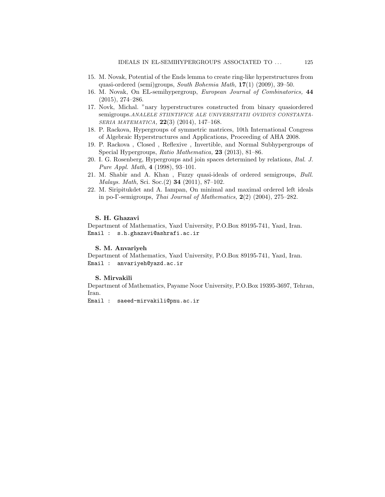- <span id="page-16-0"></span>15. M. Novak, Potential of the Ends lemma to create ring-like hyperstructures from quasi-ordered (semi)groups, *South Bohemia Math,* **17**(1) (2009), 39–50.
- <span id="page-16-1"></span>16. M. Novak, On EL-semihypergroup, *European Journal of Combinatorics,* **44** (2015), 274–286.
- <span id="page-16-2"></span>17. Novk, Michal. "nary hyperstructures constructed from binary quasiordered semigroups.*ANALELE STIINTIFICE ALE UNIVERSITATII OVIDIUS CONSTANTA-SERIA MATEMATICA,* **22**(3) (2014), 147–168.
- <span id="page-16-3"></span>18. P. Rackova, Hypergroups of symmetric matrices, 10th International Congress of Algebraic Hyperstructures and Applications, Proceeding of AHA 2008.
- <span id="page-16-4"></span>19. P. Rackova , Closed , Reflexive , Invertible, and Normal Subhypergroups of Special Hypergroups, *Ratio Mathematica,* **23** (2013), 81–86.
- <span id="page-16-5"></span>20. I. G. Rosenberg, Hypergroups and join spaces determined by relations, *Ital. J. Pure Appl. Math,* **4** (1998), 93–101.
- 21. M. Shabir and A. Khan , Fuzzy quasi-ideals of ordered semigroups, *Bull. Malays. Math,* Sci. Soc.(2) **34** (2011), 87–102.
- <span id="page-16-6"></span>22. M. Siripitukdet and A. Iampan, On minimal and maximal ordered left ideals in po-Γ-semigroups, *Thai Journal of Mathematics,* **2**(2) (2004), 275–282.

#### **S. H. Ghazavi**

Department of Mathematics, Yazd University, P.O.Box 89195-741, Yazd, Iran. Email : s.h.ghazavi@ashrafi.ac.ir

## **S. M. Anvariyeh**

Department of Mathematics, Yazd University, P.O.Box 89195-741, Yazd, Iran. Email : anvariyeh@yazd.ac.ir

#### **S. Mirvakili**

Department of Mathematics, Payame Noor University, P.O.Box 19395-3697, Tehran, Iran.

Email : saeed-mirvakili@pnu.ac.ir